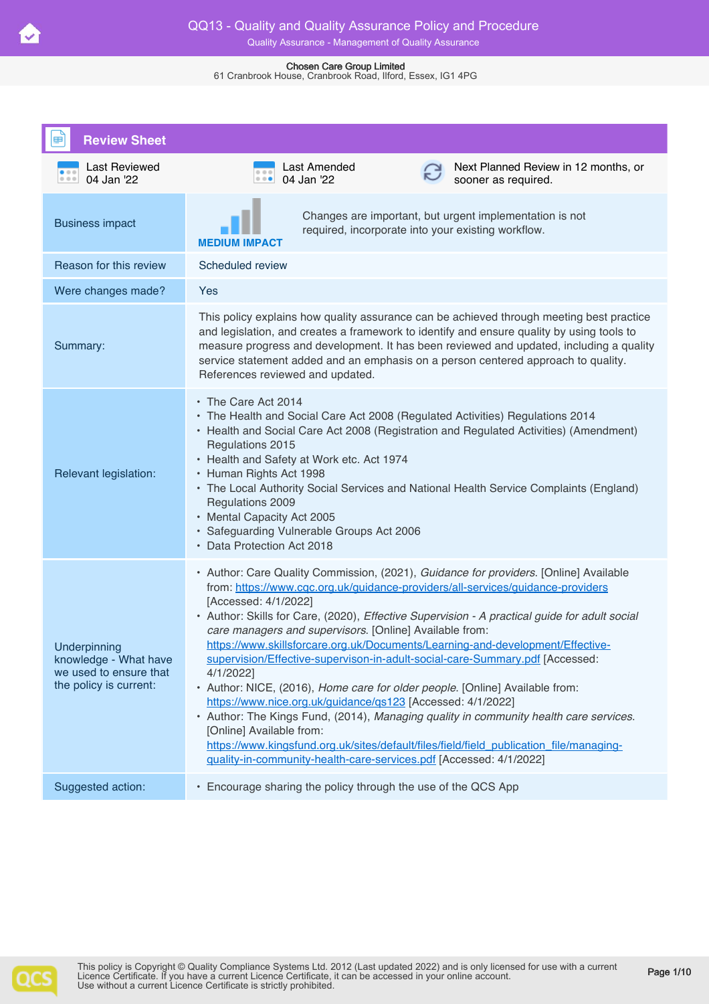| <b>Review Sheet</b>                                                                       |                                                                                                                                                                                                                                                                                                                                                                                                                                                                                                                                                                                                                                                                                                                                                                                                                                                                                                                                                                                  |
|-------------------------------------------------------------------------------------------|----------------------------------------------------------------------------------------------------------------------------------------------------------------------------------------------------------------------------------------------------------------------------------------------------------------------------------------------------------------------------------------------------------------------------------------------------------------------------------------------------------------------------------------------------------------------------------------------------------------------------------------------------------------------------------------------------------------------------------------------------------------------------------------------------------------------------------------------------------------------------------------------------------------------------------------------------------------------------------|
| Last Reviewed<br>04 Jan '22                                                               | Next Planned Review in 12 months, or<br>Last Amended<br>0.00<br>04 Jan '22<br>sooner as required.                                                                                                                                                                                                                                                                                                                                                                                                                                                                                                                                                                                                                                                                                                                                                                                                                                                                                |
| <b>Business impact</b>                                                                    | Changes are important, but urgent implementation is not<br>required, incorporate into your existing workflow.<br>MEDIUM IMPACT                                                                                                                                                                                                                                                                                                                                                                                                                                                                                                                                                                                                                                                                                                                                                                                                                                                   |
| Reason for this review                                                                    | Scheduled review                                                                                                                                                                                                                                                                                                                                                                                                                                                                                                                                                                                                                                                                                                                                                                                                                                                                                                                                                                 |
| Were changes made?                                                                        | Yes                                                                                                                                                                                                                                                                                                                                                                                                                                                                                                                                                                                                                                                                                                                                                                                                                                                                                                                                                                              |
| Summary:                                                                                  | This policy explains how quality assurance can be achieved through meeting best practice<br>and legislation, and creates a framework to identify and ensure quality by using tools to<br>measure progress and development. It has been reviewed and updated, including a quality<br>service statement added and an emphasis on a person centered approach to quality.<br>References reviewed and updated.                                                                                                                                                                                                                                                                                                                                                                                                                                                                                                                                                                        |
| Relevant legislation:                                                                     | • The Care Act 2014<br>• The Health and Social Care Act 2008 (Regulated Activities) Regulations 2014<br>• Health and Social Care Act 2008 (Registration and Regulated Activities) (Amendment)<br>Regulations 2015<br>• Health and Safety at Work etc. Act 1974<br>• Human Rights Act 1998<br>• The Local Authority Social Services and National Health Service Complaints (England)<br>Regulations 2009<br>• Mental Capacity Act 2005<br>· Safeguarding Vulnerable Groups Act 2006<br>• Data Protection Act 2018                                                                                                                                                                                                                                                                                                                                                                                                                                                                 |
| Underpinning<br>knowledge - What have<br>we used to ensure that<br>the policy is current: | • Author: Care Quality Commission, (2021), Guidance for providers. [Online] Available<br>from: https://www.cqc.org.uk/quidance-providers/all-services/quidance-providers<br>[Accessed: 4/1/2022]<br>• Author: Skills for Care, (2020), Effective Supervision - A practical guide for adult social<br>care managers and supervisors. [Online] Available from:<br>https://www.skillsforcare.org.uk/Documents/Learning-and-development/Effective-<br>supervision/Effective-supervison-in-adult-social-care-Summary.pdf [Accessed:<br>4/1/2022]<br>• Author: NICE, (2016), Home care for older people. [Online] Available from:<br>https://www.nice.org.uk/guidance/qs123 [Accessed: 4/1/2022]<br>• Author: The Kings Fund, (2014), Managing quality in community health care services.<br>[Online] Available from:<br>https://www.kingsfund.org.uk/sites/default/files/field/field_publication_file/managing-<br>quality-in-community-health-care-services.pdf [Accessed: 4/1/2022] |
| Suggested action:                                                                         | • Encourage sharing the policy through the use of the QCS App                                                                                                                                                                                                                                                                                                                                                                                                                                                                                                                                                                                                                                                                                                                                                                                                                                                                                                                    |



**V**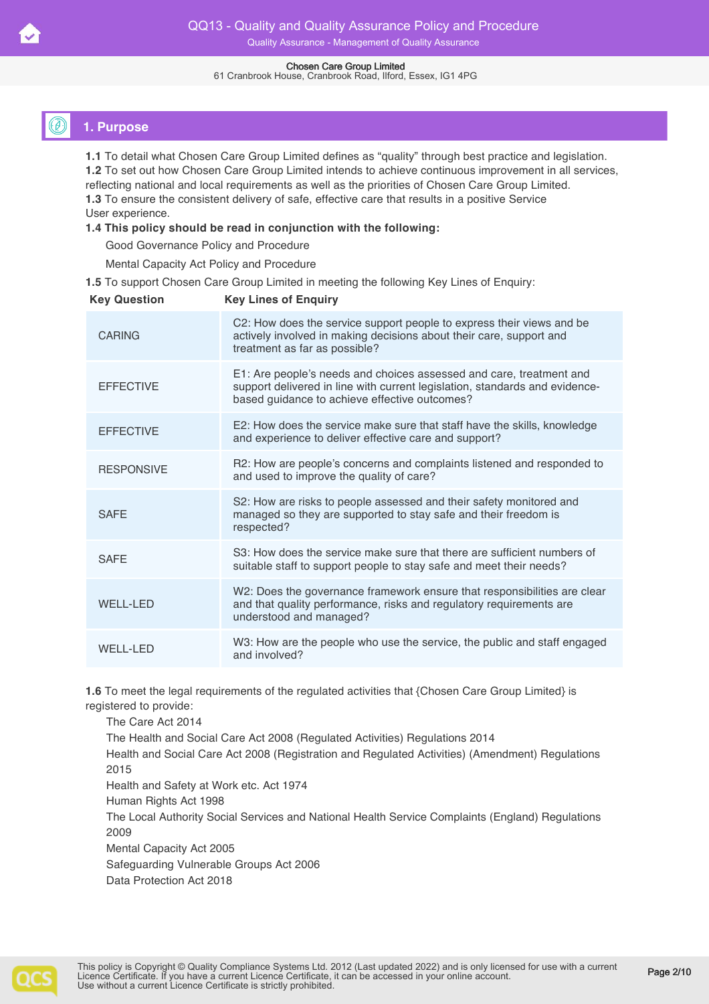61 Cranbrook House, Cranbrook Road, Ilford, Essex, IG1 4PG

# **1. Purpose**

**1.1** To detail what Chosen Care Group Limited defines as "quality" through best practice and legislation. **1.2** To set out how Chosen Care Group Limited intends to achieve continuous improvement in all services, reflecting national and local requirements as well as the priorities of Chosen Care Group Limited. **1.3** To ensure the consistent delivery of safe, effective care that results in a positive Service User experience.

#### **1.4 This policy should be read in conjunction with the following:**

Good Governance Policy and Procedure

Mental Capacity Act Policy and Procedure

**1.5** To support Chosen Care Group Limited in meeting the following Key Lines of Enquiry:

| <b>Key Question</b> | <b>Key Lines of Enquiry</b>                                                                                                                                                                         |
|---------------------|-----------------------------------------------------------------------------------------------------------------------------------------------------------------------------------------------------|
| <b>CARING</b>       | C2: How does the service support people to express their views and be<br>actively involved in making decisions about their care, support and<br>treatment as far as possible?                       |
| <b>FFFFCTIVF</b>    | E1: Are people's needs and choices assessed and care, treatment and<br>support delivered in line with current legislation, standards and evidence-<br>based guidance to achieve effective outcomes? |
| <b>EFFECTIVE</b>    | E2: How does the service make sure that staff have the skills, knowledge<br>and experience to deliver effective care and support?                                                                   |
| <b>RESPONSIVE</b>   | R2: How are people's concerns and complaints listened and responded to<br>and used to improve the quality of care?                                                                                  |
| <b>SAFE</b>         | S2: How are risks to people assessed and their safety monitored and<br>managed so they are supported to stay safe and their freedom is<br>respected?                                                |
| <b>SAFE</b>         | S3: How does the service make sure that there are sufficient numbers of<br>suitable staff to support people to stay safe and meet their needs?                                                      |
| <b>WELL-LED</b>     | W2: Does the governance framework ensure that responsibilities are clear<br>and that quality performance, risks and regulatory requirements are<br>understood and managed?                          |
| <b>WELL-LED</b>     | W3: How are the people who use the service, the public and staff engaged<br>and involved?                                                                                                           |
|                     |                                                                                                                                                                                                     |

**1.6** To meet the legal requirements of the regulated activities that {Chosen Care Group Limited} is registered to provide:

The Care Act 2014 The Health and Social Care Act 2008 (Regulated Activities) Regulations 2014 Health and Social Care Act 2008 (Registration and Regulated Activities) (Amendment) Regulations 2015 Health and Safety at Work etc. Act 1974 Human Rights Act 1998 The Local Authority Social Services and National Health Service Complaints (England) Regulations 2009

Mental Capacity Act 2005

Safeguarding Vulnerable Groups Act 2006

Data Protection Act 2018

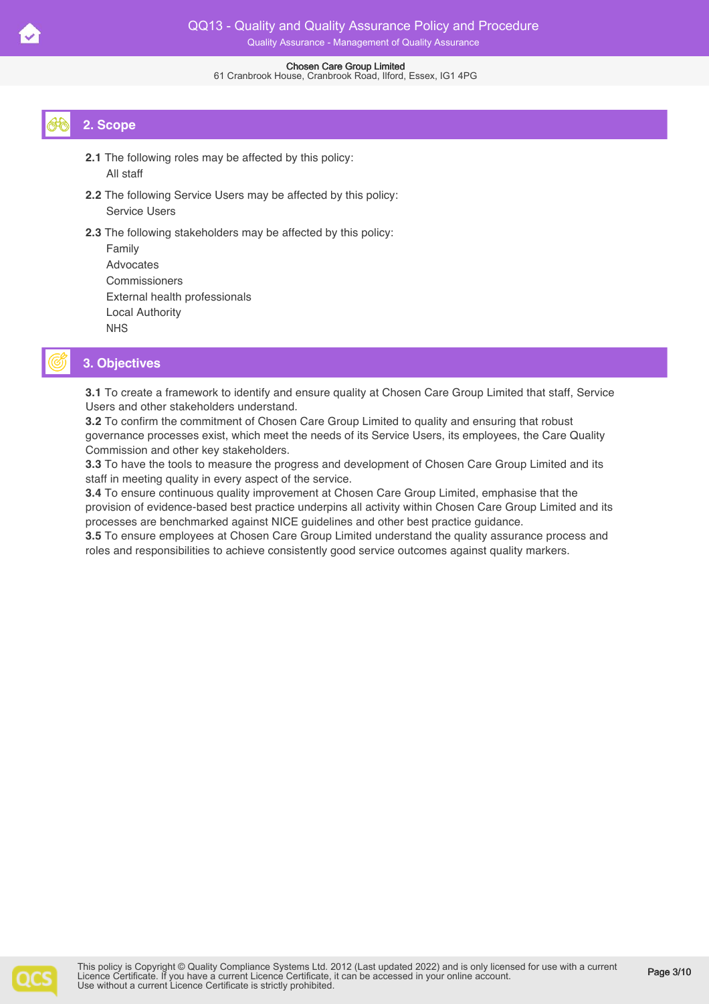#### 61 Cranbrook House, Cranbrook Road, Ilford, Essex, IG1 4PG

# **2. Scope**

- **2.1** The following roles may be affected by this policy: All staff
- **2.2** The following Service Users may be affected by this policy: Service Users
- **2.3** The following stakeholders may be affected by this policy:

| Family                        |
|-------------------------------|
| Advocates                     |
| Commissioners                 |
| External health professionals |
| Local Authority               |
| <b>NHS</b>                    |

# **3. Objectives**

**3.1** To create a framework to identify and ensure quality at Chosen Care Group Limited that staff, Service Users and other stakeholders understand.

**3.2** To confirm the commitment of Chosen Care Group Limited to quality and ensuring that robust governance processes exist, which meet the needs of its Service Users, its employees, the Care Quality Commission and other key stakeholders.

**3.3** To have the tools to measure the progress and development of Chosen Care Group Limited and its staff in meeting quality in every aspect of the service.

**3.4** To ensure continuous quality improvement at Chosen Care Group Limited, emphasise that the provision of evidence-based best practice underpins all activity within Chosen Care Group Limited and its processes are benchmarked against NICE guidelines and other best practice guidance.

**3.5** To ensure employees at Chosen Care Group Limited understand the quality assurance process and roles and responsibilities to achieve consistently good service outcomes against quality markers.

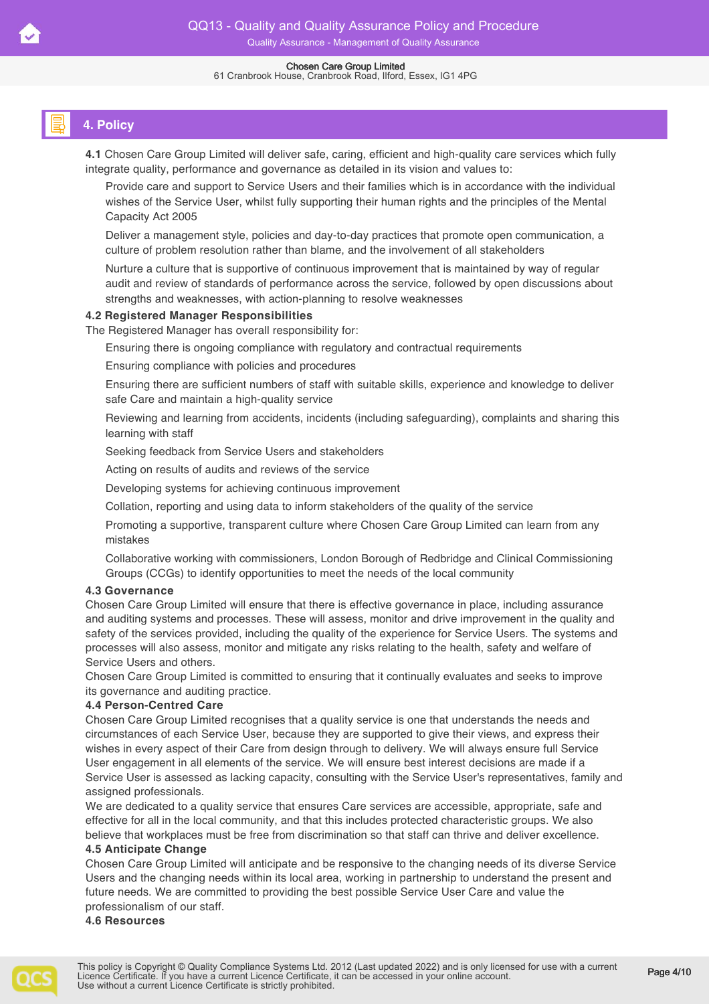# **4. Policy**

**4.1** Chosen Care Group Limited will deliver safe, caring, efficient and high-quality care services which fully integrate quality, performance and governance as detailed in its vision and values to:

Provide care and support to Service Users and their families which is in accordance with the individual wishes of the Service User, whilst fully supporting their human rights and the principles of the Mental Capacity Act 2005

Deliver a management style, policies and day-to-day practices that promote open communication, a culture of problem resolution rather than blame, and the involvement of all stakeholders

Nurture a culture that is supportive of continuous improvement that is maintained by way of regular audit and review of standards of performance across the service, followed by open discussions about strengths and weaknesses, with action-planning to resolve weaknesses

#### **4.2 Registered Manager Responsibilities**

The Registered Manager has overall responsibility for:

Ensuring there is ongoing compliance with regulatory and contractual requirements

Ensuring compliance with policies and procedures

Ensuring there are sufficient numbers of staff with suitable skills, experience and knowledge to deliver safe Care and maintain a high-quality service

Reviewing and learning from accidents, incidents (including safeguarding), complaints and sharing this learning with staff

Seeking feedback from Service Users and stakeholders

Acting on results of audits and reviews of the service

Developing systems for achieving continuous improvement

Collation, reporting and using data to inform stakeholders of the quality of the service

Promoting a supportive, transparent culture where Chosen Care Group Limited can learn from any mistakes

Collaborative working with commissioners, London Borough of Redbridge and Clinical Commissioning Groups (CCGs) to identify opportunities to meet the needs of the local community

#### **4.3 Governance**

Chosen Care Group Limited will ensure that there is effective governance in place, including assurance and auditing systems and processes. These will assess, monitor and drive improvement in the quality and safety of the services provided, including the quality of the experience for Service Users. The systems and processes will also assess, monitor and mitigate any risks relating to the health, safety and welfare of Service Users and others.

Chosen Care Group Limited is committed to ensuring that it continually evaluates and seeks to improve its governance and auditing practice.

#### **4.4 Person-Centred Care**

Chosen Care Group Limited recognises that a quality service is one that understands the needs and circumstances of each Service User, because they are supported to give their views, and express their wishes in every aspect of their Care from design through to delivery. We will always ensure full Service User engagement in all elements of the service. We will ensure best interest decisions are made if a Service User is assessed as lacking capacity, consulting with the Service User's representatives, family and assigned professionals.

We are dedicated to a quality service that ensures Care services are accessible, appropriate, safe and effective for all in the local community, and that this includes protected characteristic groups. We also believe that workplaces must be free from discrimination so that staff can thrive and deliver excellence.

#### **4.5 Anticipate Change**

Chosen Care Group Limited will anticipate and be responsive to the changing needs of its diverse Service Users and the changing needs within its local area, working in partnership to understand the present and future needs. We are committed to providing the best possible Service User Care and value the professionalism of our staff.

**4.6 Resources**

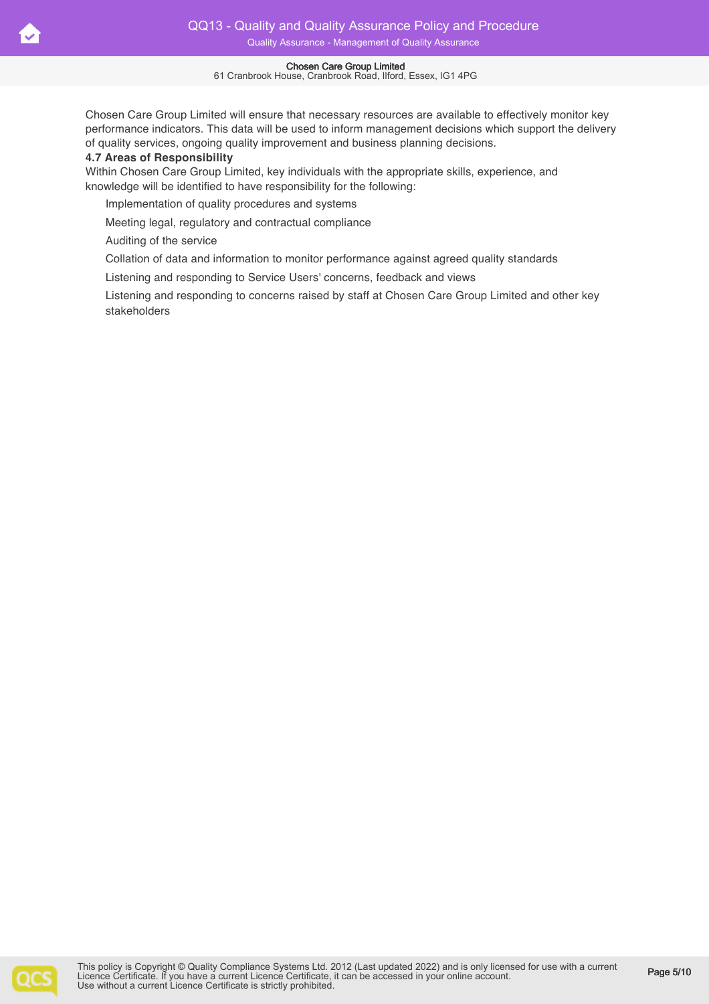61 Cranbrook House, Cranbrook Road, Ilford, Essex, IG1 4PG

Chosen Care Group Limited will ensure that necessary resources are available to effectively monitor key performance indicators. This data will be used to inform management decisions which support the delivery of quality services, ongoing quality improvement and business planning decisions.

#### **4.7 Areas of Responsibility**

Within Chosen Care Group Limited, key individuals with the appropriate skills, experience, and knowledge will be identified to have responsibility for the following:

Implementation of quality procedures and systems

Meeting legal, regulatory and contractual compliance

Auditing of the service

Collation of data and information to monitor performance against agreed quality standards

Listening and responding to Service Users' concerns, feedback and views

Listening and responding to concerns raised by staff at Chosen Care Group Limited and other key stakeholders

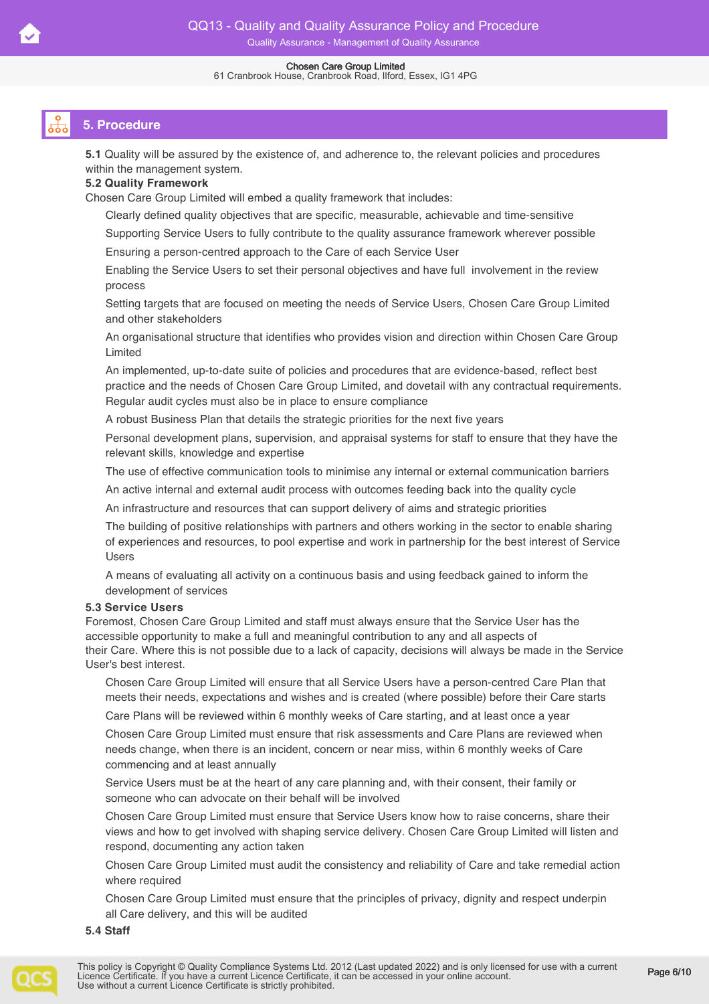#### 61 Cranbrook House, Cranbrook Road, Ilford, Essex, IG1 4PG

# **5. Procedure**

**5.1** Quality will be assured by the existence of, and adherence to, the relevant policies and procedures within the management system.

### **5.2 Quality Framework**

Chosen Care Group Limited will embed a quality framework that includes:

Clearly defined quality objectives that are specific, measurable, achievable and time-sensitive

Supporting Service Users to fully contribute to the quality assurance framework wherever possible

Ensuring a person-centred approach to the Care of each Service User

Enabling the Service Users to set their personal objectives and have full involvement in the review process

Setting targets that are focused on meeting the needs of Service Users, Chosen Care Group Limited and other stakeholders

An organisational structure that identifies who provides vision and direction within Chosen Care Group Limited

An implemented, up-to-date suite of policies and procedures that are evidence-based, reflect best practice and the needs of Chosen Care Group Limited, and dovetail with any contractual requirements. Regular audit cycles must also be in place to ensure compliance

A robust Business Plan that details the strategic priorities for the next five years

Personal development plans, supervision, and appraisal systems for staff to ensure that they have the relevant skills, knowledge and expertise

The use of effective communication tools to minimise any internal or external communication barriers

An active internal and external audit process with outcomes feeding back into the quality cycle

An infrastructure and resources that can support delivery of aims and strategic priorities

The building of positive relationships with partners and others working in the sector to enable sharing of experiences and resources, to pool expertise and work in partnership for the best interest of Service Users

A means of evaluating all activity on a continuous basis and using feedback gained to inform the development of services

#### **5.3 Service Users**

Foremost, Chosen Care Group Limited and staff must always ensure that the Service User has the accessible opportunity to make a full and meaningful contribution to any and all aspects of their Care. Where this is not possible due to a lack of capacity, decisions will always be made in the Service User's best interest.

Chosen Care Group Limited will ensure that all Service Users have a person-centred Care Plan that meets their needs, expectations and wishes and is created (where possible) before their Care starts

Care Plans will be reviewed within 6 monthly weeks of Care starting, and at least once a year

Chosen Care Group Limited must ensure that risk assessments and Care Plans are reviewed when needs change, when there is an incident, concern or near miss, within 6 monthly weeks of Care commencing and at least annually

Service Users must be at the heart of any care planning and, with their consent, their family or someone who can advocate on their behalf will be involved

Chosen Care Group Limited must ensure that Service Users know how to raise concerns, share their views and how to get involved with shaping service delivery. Chosen Care Group Limited will listen and respond, documenting any action taken

Chosen Care Group Limited must audit the consistency and reliability of Care and take remedial action where required

Chosen Care Group Limited must ensure that the principles of privacy, dignity and respect underpin all Care delivery, and this will be audited

**5.4 Staff** 

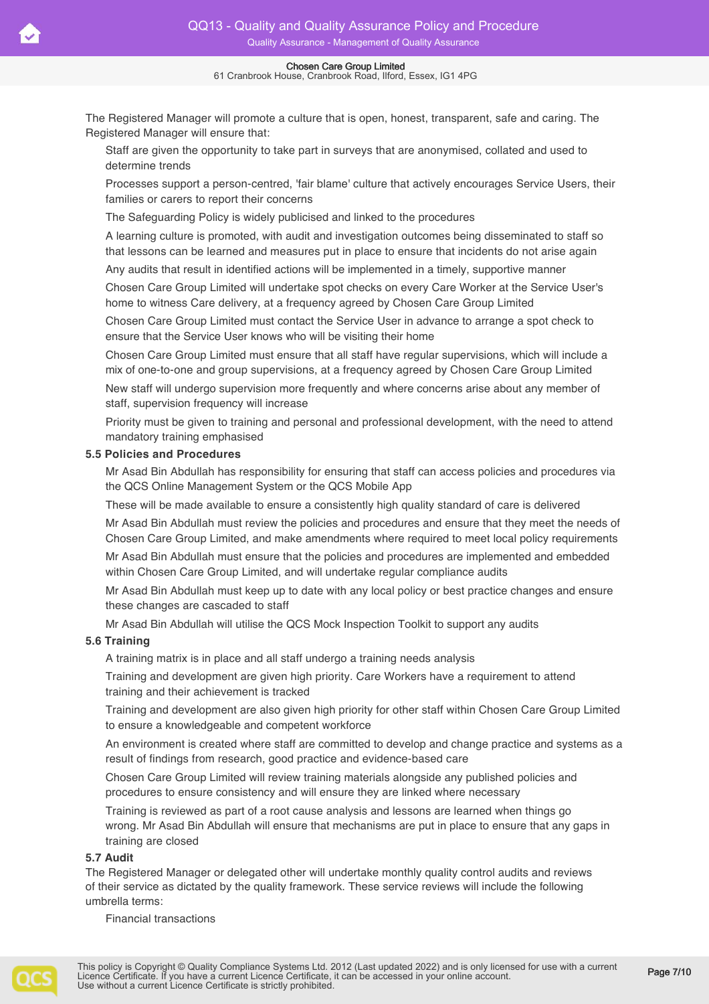The Registered Manager will promote a culture that is open, honest, transparent, safe and caring. The Registered Manager will ensure that:

Staff are given the opportunity to take part in surveys that are anonymised, collated and used to determine trends

Processes support a person-centred, 'fair blame' culture that actively encourages Service Users, their families or carers to report their concerns

The Safeguarding Policy is widely publicised and linked to the procedures

A learning culture is promoted, with audit and investigation outcomes being disseminated to staff so that lessons can be learned and measures put in place to ensure that incidents do not arise again

Any audits that result in identified actions will be implemented in a timely, supportive manner

Chosen Care Group Limited will undertake spot checks on every Care Worker at the Service User's home to witness Care delivery, at a frequency agreed by Chosen Care Group Limited

Chosen Care Group Limited must contact the Service User in advance to arrange a spot check to ensure that the Service User knows who will be visiting their home

Chosen Care Group Limited must ensure that all staff have regular supervisions, which will include a mix of one-to-one and group supervisions, at a frequency agreed by Chosen Care Group Limited

New staff will undergo supervision more frequently and where concerns arise about any member of staff, supervision frequency will increase

Priority must be given to training and personal and professional development, with the need to attend mandatory training emphasised

#### **5.5 Policies and Procedures**

Mr Asad Bin Abdullah has responsibility for ensuring that staff can access policies and procedures via the QCS Online Management System or the QCS Mobile App

These will be made available to ensure a consistently high quality standard of care is delivered

Mr Asad Bin Abdullah must review the policies and procedures and ensure that they meet the needs of Chosen Care Group Limited, and make amendments where required to meet local policy requirements

Mr Asad Bin Abdullah must ensure that the policies and procedures are implemented and embedded within Chosen Care Group Limited, and will undertake regular compliance audits

Mr Asad Bin Abdullah must keep up to date with any local policy or best practice changes and ensure these changes are cascaded to staff

Mr Asad Bin Abdullah will utilise the QCS Mock Inspection Toolkit to support any audits

### **5.6 Training**

A training matrix is in place and all staff undergo a training needs analysis

Training and development are given high priority. Care Workers have a requirement to attend training and their achievement is tracked

Training and development are also given high priority for other staff within Chosen Care Group Limited to ensure a knowledgeable and competent workforce

An environment is created where staff are committed to develop and change practice and systems as a result of findings from research, good practice and evidence-based care

Chosen Care Group Limited will review training materials alongside any published policies and procedures to ensure consistency and will ensure they are linked where necessary

Training is reviewed as part of a root cause analysis and lessons are learned when things go wrong. Mr Asad Bin Abdullah will ensure that mechanisms are put in place to ensure that any gaps in training are closed

#### **5.7 Audit**

The Registered Manager or delegated other will undertake monthly quality control audits and reviews of their service as dictated by the quality framework. These service reviews will include the following umbrella terms:

Financial transactions

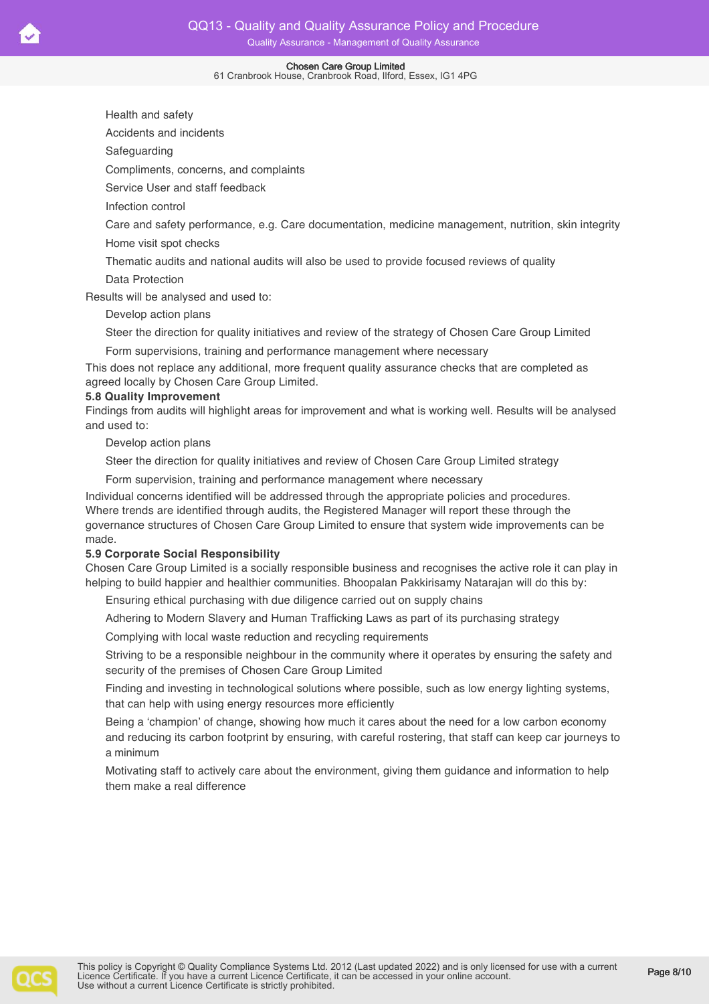#### 61 Cranbrook House, Cranbrook Road, Ilford, Essex, IG1 4PG

Health and safety

Accidents and incidents

Safeguarding

Compliments, concerns, and complaints

Service User and staff feedback

Infection control

Care and safety performance, e.g. Care documentation, medicine management, nutrition, skin integrity Home visit spot checks

Thematic audits and national audits will also be used to provide focused reviews of quality

Data Protection

Results will be analysed and used to:

Develop action plans

Steer the direction for quality initiatives and review of the strategy of Chosen Care Group Limited

Form supervisions, training and performance management where necessary

This does not replace any additional, more frequent quality assurance checks that are completed as agreed locally by Chosen Care Group Limited.

#### **5.8 Quality Improvement**

Findings from audits will highlight areas for improvement and what is working well. Results will be analysed and used to:

Develop action plans

Steer the direction for quality initiatives and review of Chosen Care Group Limited strategy

Form supervision, training and performance management where necessary

Individual concerns identified will be addressed through the appropriate policies and procedures. Where trends are identified through audits, the Registered Manager will report these through the governance structures of Chosen Care Group Limited to ensure that system wide improvements can be made.

#### **5.9 Corporate Social Responsibility**

Chosen Care Group Limited is a socially responsible business and recognises the active role it can play in helping to build happier and healthier communities. Bhoopalan Pakkirisamy Natarajan will do this by:

Ensuring ethical purchasing with due diligence carried out on supply chains

Adhering to Modern Slavery and Human Trafficking Laws as part of its purchasing strategy

Complying with local waste reduction and recycling requirements

Striving to be a responsible neighbour in the community where it operates by ensuring the safety and security of the premises of Chosen Care Group Limited

Finding and investing in technological solutions where possible, such as low energy lighting systems, that can help with using energy resources more efficiently

Being a 'champion' of change, showing how much it cares about the need for a low carbon economy and reducing its carbon footprint by ensuring, with careful rostering, that staff can keep car journeys to a minimum

Motivating staff to actively care about the environment, giving them guidance and information to help them make a real difference

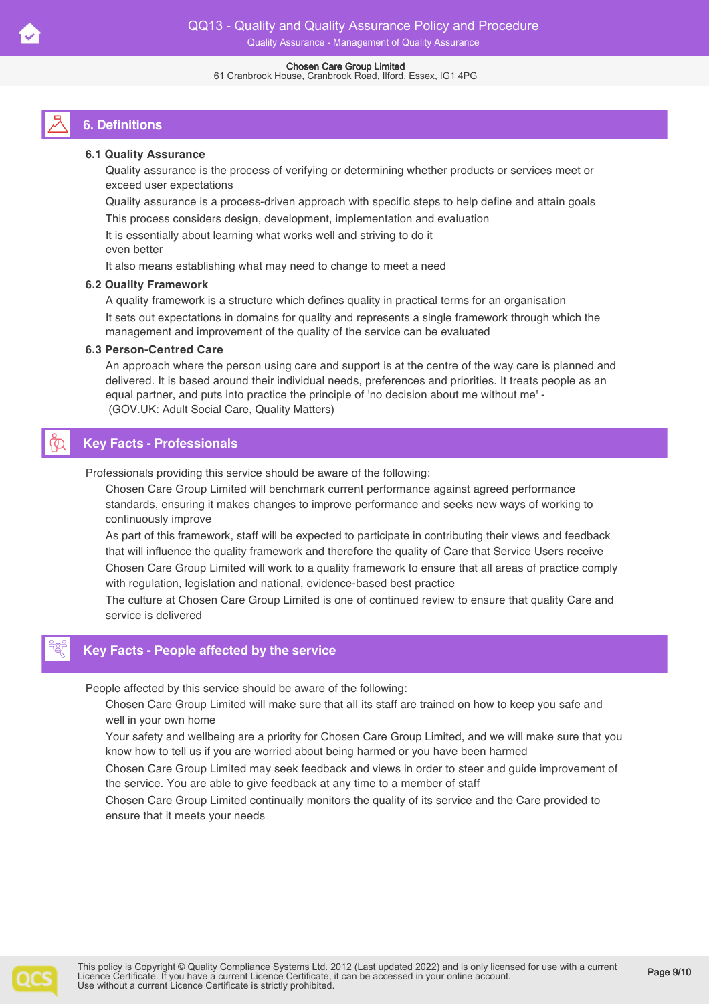# **6. Definitions**

#### **6.1 Quality Assurance**

Quality assurance is the process of verifying or determining whether products or services meet or exceed user expectations

Quality assurance is a process-driven approach with specific steps to help define and attain goals

This process considers design, development, implementation and evaluation

It is essentially about learning what works well and striving to do it

even better It also means establishing what may need to change to meet a need

#### **6.2 Quality Framework**

A quality framework is a structure which defines quality in practical terms for an organisation It sets out expectations in domains for quality and represents a single framework through which the management and improvement of the quality of the service can be evaluated

#### **6.3 Person-Centred Care**

An approach where the person using care and support is at the centre of the way care is planned and delivered. It is based around their individual needs, preferences and priorities. It treats people as an equal partner, and puts into practice the principle of 'no decision about me without me' - (GOV.UK: Adult Social Care, Quality Matters)

# **Key Facts - Professionals**

Professionals providing this service should be aware of the following:

Chosen Care Group Limited will benchmark current performance against agreed performance standards, ensuring it makes changes to improve performance and seeks new ways of working to continuously improve

As part of this framework, staff will be expected to participate in contributing their views and feedback that will influence the quality framework and therefore the quality of Care that Service Users receive Chosen Care Group Limited will work to a quality framework to ensure that all areas of practice comply with regulation, legislation and national, evidence-based best practice

The culture at Chosen Care Group Limited is one of continued review to ensure that quality Care and service is delivered

# **Key Facts - People affected by the service**

People affected by this service should be aware of the following:

Chosen Care Group Limited will make sure that all its staff are trained on how to keep you safe and well in your own home

Your safety and wellbeing are a priority for Chosen Care Group Limited, and we will make sure that you know how to tell us if you are worried about being harmed or you have been harmed

Chosen Care Group Limited may seek feedback and views in order to steer and guide improvement of the service. You are able to give feedback at any time to a member of staff

Chosen Care Group Limited continually monitors the quality of its service and the Care provided to ensure that it meets your needs